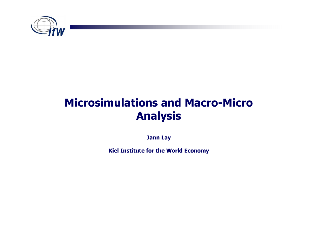

# Microsimulations and Macro-Micro Analysis

Jann Lay

Kiel Institute for the World Economy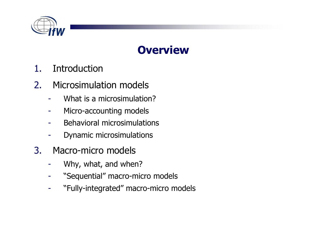

# **Overview**

- 1.Introduction
- 2. Microsimulation models
	- -What is a microsimulation?
	- -Micro-accounting models
	- -Behavioral microsimulations
	- -Dynamic microsimulations
- 3. Macro-micro models
	- -Why, what, and when?
	- -"Sequential" macro-micro models
	- -"Fully-integrated" macro-micro models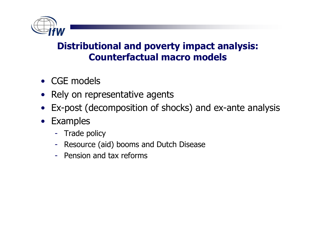

#### Distributional and poverty impact analysis: Counterfactual macro models

- CGE models
- Rely on representative agents<br>• Expect (decemposition of cho
- Ex-post (decomposition of shocks) and ex-ante analysis
- Examples
	- Trade policy<br>Reserves (ai
	- Resource (aid) booms and Dutch Disease
	- -- Pension and tax reforms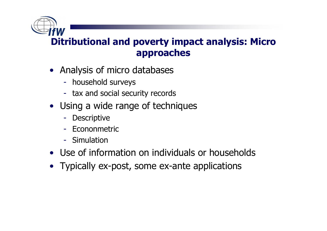Ditributional and poverty impact analysis: Micro approaches

- Analysis of micro databases<br>- household surveys
	- household surveys<br>tax and sesial sesi
	- tax and social security records
- Using a wide range of techniques<br>- Descriptive
	- -**Descriptive**
	- Econonmetric
	- Simulation
- Use of information on individuals or households<br>• Typically av neet, same av ante annliestiens
- Typically ex-post, some ex-ante applications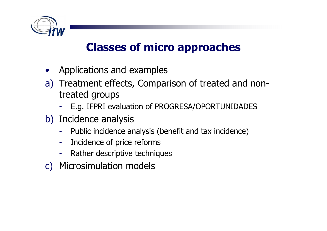

# Classes of micro approaches

- •Applications and examples
- a) Treatment effects, Comparison of treated and non-<br>treated groups treated groups
	- -- E.g. IFPRI evaluation of PROGRESA/OPORTUNIDADES<br>- . . .
- b) Incidence analysis
	- -Public incidence analysis (benefit and tax incidence)
	- -Incidence of price reforms
	- -Rather descriptive techniques
- c) Microsimulation models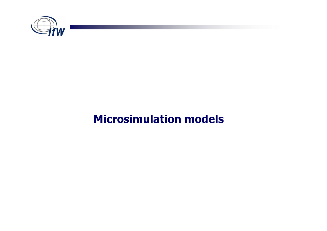

# Microsimulation models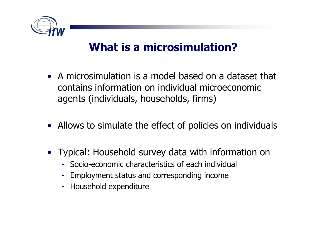

# What is a microsimulation?

- A microsimulation is a model based on a dataset that contains information on individual microeconomic agents (individuals, households, firms)
- Allows to simulate the effect of policies on individuals
- Typical: Household survey data with information on
	- Socio-economic characteristics of each individual
	- Employment status and corresponding income
	- Household expenditure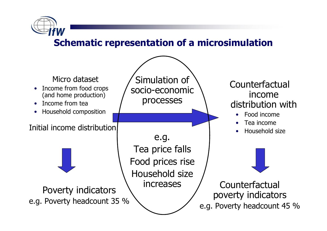

#### Schematic representation of a microsimulation

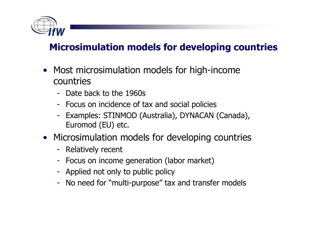

### Microsimulation models for developing countries

- $\bullet$  Most microsimulation models for high-income countries
	- Date back to the 1960s
	- Focus on incidence of tax and social policies
	- Examples: STINMOD (Australia), DYNACAN (Canada), Euromod (EU) etc.
- Microsimulation models for developing countries
	- Relatively recent
	- Focus on income generation (labor market)
	- Applied not only to public policy
	- No need for "multi-purpose" tax and transfer models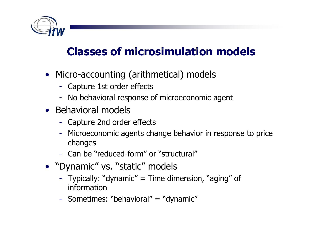

# Classes of microsimulation models

- Micro-accounting (arithmetical) models
	- $\mathcal{L}_{\mathcal{A}}$ Capture 1st order effects
	- $\mathcal{L}_{\mathcal{A}}$  -size  $\mathcal{L}_{\mathcal{A}}$  and  $\mathcal{L}_{\mathcal{A}}$  and  $\mathcal{L}_{\mathcal{A}}$ No behavioral response of microeconomic agent
- Behavioral models
	- -Capture 2nd order effects
	- - Microeconomic agents change behavior in response to price changes
	- $\mathcal{L}_{\mathcal{A}}$ - Can be "reduced-form" or "structural"
- "Dynamic" vs. "static" models
	- $\mathcal{L}_{\mathcal{A}}$  -size  $\mathcal{L}_{\mathcal{A}}$  and  $\mathcal{L}_{\mathcal{A}}$  and  $\mathcal{L}_{\mathcal{A}}$  Typically: "dynamic" = Time dimension, "aging" of information
	- Sometimes: "behavioral" = "dynamic"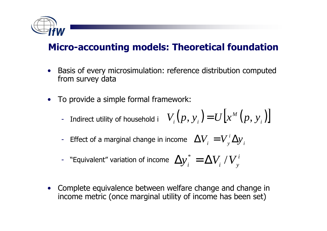

#### Micro-accounting models: Theoretical foundation

- • Basis of every microsimulation: reference distribution computed from survey data
- • To provide a simple formal framework:
	- Indirect utility of household i  $V_i(p, y_i)$   $=$   $U[x^{\scriptscriptstyle M}\left( p, y_i \right)$ **.**<br>. ]<br>]<br>] *M* $V_i(p, y_i) = U[x^M (p, y_i)]$
	- Effect of a marginal change in income  $\Delta V_{i}^{\text{}}=V_{v}^{\text{}}\Delta y_{i}^{\text{}}$  $\sum_{i}$   $=$   $V_{y}^{i}$  $\Delta V_{_{i}}=V_{_{\mathrm{v}}}^{^{i}}\Delta y$
	- "Equivalent" variation of income  $\left(\Delta y\right)_i^* = \Delta V_i^{\ \ /}V_j^i$  $\Delta {\rm v}^{*}=\Delta$
- • Complete equivalence between welfare change and change in income metric (once marginal utility of income has been set)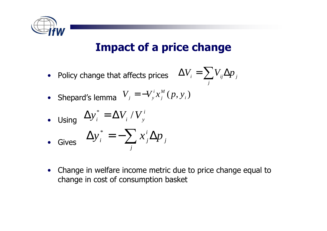

# Impact of a price change

• Policy change that affects prices

 $\Delta$ = $=\sum V_{\scriptscriptstyle ij}\Delta$  *j* $V_{\scriptscriptstyle i} = \sum V_{\scriptscriptstyle ij} \Delta p$  $$ 

• Shepard's lemma $(p, y_i)$ *M j*  $\dot{y}_j = -V_y^i$  $V = -V'x$  $x_{j}$  (  $p$ *y*

• Using 
$$
\Delta y_i^* = \Delta V_i / V_y^i
$$

• **Gives** 
$$
\Delta y_i^* = -\sum_j x_j^i \Delta p_j
$$

• Change in welfare income metric due to price change equal to change in cost of consumption basket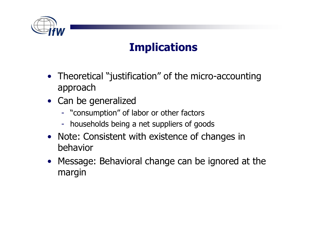

# **Implications**

- Theoretical "justification" of the micro-accountingapproach
- Can be generalized
	- "consumption" of labor or other factors
	- households being a net suppliers of goods
- Note: Consistent with existence of changes in behavior
- Message: Behavioral change can be ignored at the margin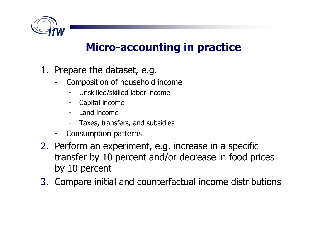

### Micro-accounting in practice

- 1. Prepare the dataset, e.g.
	- - Composition of household income
		- -Unskilled/skilled labor income
		- Capital income
		- -Land income
		- -Taxes, transfers, and subsidies
	- Consumption patterns
- 2. Perform an experiment, e.g. increase in a specific transfer by 10 percent and/or decrease in food prices by 10 percent
- 3. Compare initial and counterfactual income distributions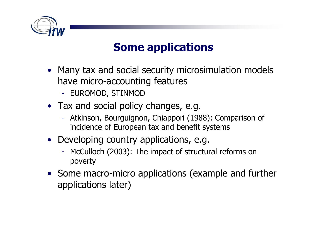

# Some applications

- Many tax and social security microsimulation models have micro-accounting features
	- EUROMOD, STINMOD
- Tax and social policy changes, e.g.
	- Atkinson, Bourguignon, Chiappori (1988): Comparison of<br>incidence of European tax and benefit systems incidence of European tax and benefit systems
- Developing country applications, e.g.
	- McCulloch (2003): The impact of structural reforms on poverty
- Some macro-micro applications (example and further applications later)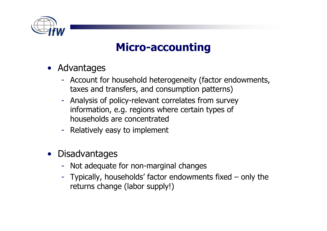

# Micro-accounting

- Advantages
	- Account for household heterogeneity (factor endowments, taxes and transfers, and consumption patterns)
	- Analysis of policy-relevant correlates from survey information, e.g. regions where certain types of households are concentrated
	- Relatively easy to implement
- •**Disadvantages** 
	- Not adequate for non-marginal changes
	- Typically, households' factor endowments fixed only the<br>returns change (labor sunnlyl) returns change (labor supply!)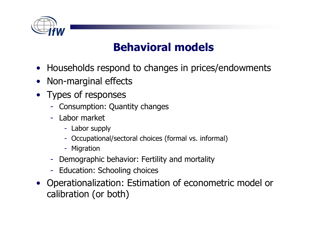

# Behavioral models

- Households respond to changes in prices/endowments
- •Non-marginal effects
- Types of responses
	- Consumption: Quantity changes
	- Labor market
		- Labor supply
		- Occupational/sectoral choices (formal vs. informal)
		- Migration
	- Demographic behavior: Fertility and mortality
	- Education: Schooling choices
- Operationalization: Estimation of econometric model or calibration (or both)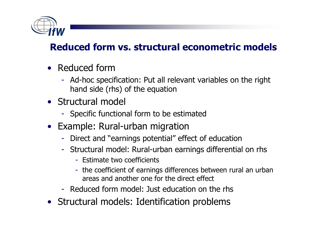

### Reduced form vs. structural econometric models

- Reduced form
	- AA-NAC SAA Ad-hoc specification: Put all relevant variables on the right hand side (rhs) of the equation
- Structural model
	- Specific functional form to be estimated
- Example: Rural-urban migration
	- Direct and "earnings potential" effect of education
	- Structural model: Rural-urban earnings differential on rhs
		- Estimate two coefficients
		- the coefficient of earnings differences between rural an urban areas and another one for the direct effect
	- Reduced form model: Just education on the rhs
- Structural models: Identification problems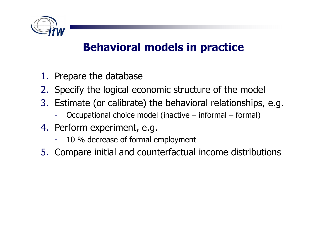

# Behavioral models in practice

- 1. Prepare the database
- 2. Specify the logical economic structure of the model
- 3. Estimate (or calibrate) the behavioral relationships, e.g.
	- -Occupational choice model (inactive – informal – formal)
- 4. Perform experiment, e.g.
	- -10 % decrease of formal employment
- 5. Compare initial and counterfactual income distributions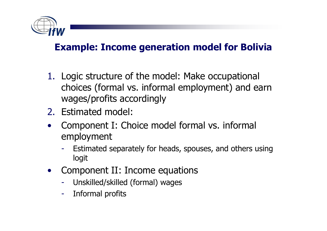

#### Example: Income generation model for Bolivia

- 1. Logic structure of the model: Make occupational choices (formal vs. informal employment) and earn wages/profits accordingly
- 2. Estimated model:
- • Component I: Choice model formal vs. informal employment
	- Estimated separately for heads, spouses, and others using logit
- • Component II: Income equations
	- Unskilled/skilled (formal) wages
	- Informal profits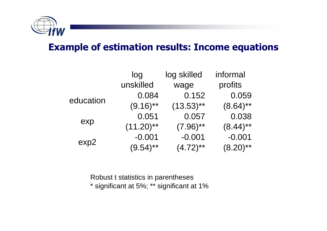

#### Example of estimation results: Income equations

|           | log          | log skilled  | informal    |
|-----------|--------------|--------------|-------------|
|           | unskilled    | wage         | profits     |
| education | 0.084        | 0.152        | 0.059       |
|           | $(9.16)$ **  | $(13.53)$ ** | $(8.64)$ ** |
| exp       | 0.051        | 0.057        | 0.038       |
|           | $(11.20)$ ** | $(7.96)$ **  | $(8.44)$ ** |
| exp2      | $-0.001$     | $-0.001$     | $-0.001$    |
|           | $(9.54)$ **  | $(4.72)$ **  | $(8.20)$ ** |

Robust t statistics in parentheses\* significant at 5%; \*\* significant at 1%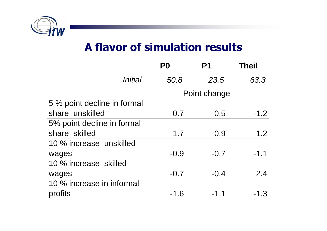

### A flavor of simulation results

|                             | P <sub>0</sub> | P1     | <b>Theil</b> |
|-----------------------------|----------------|--------|--------------|
| Initial                     | 50.8           | 23.5   | 63.3         |
|                             | Point change   |        |              |
| 5 % point decline in formal |                |        |              |
| share unskilled             | 0.7            | 0.5    | $-1.2$       |
| 5% point decline in formal  |                |        |              |
| share skilled               | 1.7            | 0.9    | 1.2          |
| 10 % increase unskilled     |                |        |              |
| wages                       | $-0.9$         | $-0.7$ | $-1.1$       |
| 10 % increase skilled       |                |        |              |
| wages                       | $-0.7$         | $-0.4$ | 2.4          |
| 10 % increase in informal   |                |        |              |
| profits                     | -1.6           | -1.1   | $-1.3$       |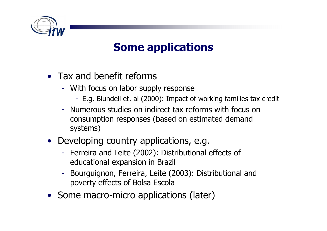

# Some applications

- Tax and benefit reforms
	- With focus on labor supply response
		- E.g. Blundell et. al (2000): Impact of working families tax credit
	- Numerous studies on indirect tax reforms with focus on consumption responses (based on estimated demand systems)
- Developing country applications, e.g.
	- Ferreira and Leite (2002): Distributional effects of -<br>Educational expansion in Brazil educational expansion in Brazil
	- Bourguignon, Ferreira, Leite (2003): Distributional and poverty effects of Bolsa Escola
- Some macro-micro applications (later)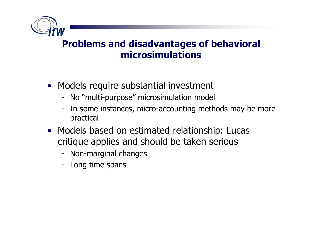

#### Problems and disadvantages of behavioral microsimulations

- Models require substantial investment
	- No "multi-purpose" microsimulation model
	- In some instances, micro-accounting methods may be more practical
- Models based on estimated relationship: Lucas critique applies and should be taken serious
	- Non-marginal changes
	- Long time spans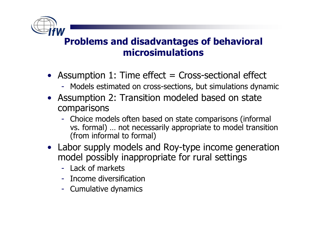

#### Problems and disadvantages of behavioral microsimulations

- Assumption 1: Time effect = Cross-sectional effect
	- Models estimated on cross-sections, but simulations dynamic
- Assumption 2: Transition modeled based on state comparisons
	- Choice models often based on state comparisons (informal vs. formal) … not necessarily appropriate to model transition (from informal to formal)
- Labor supply models and Roy-type income generation model possibly inappropriate for rural settings
	- Lack of markets
	- Income diversification
	- Cumulative dynamics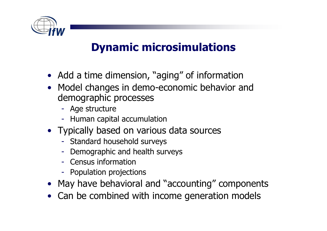

# Dynamic microsimulations

- Add a time dimension, "aging" of information
- Model changes in demo-economic behavior and demographic processes
	- Age structure
	- Human capital accumulation
- Typically based on various data sources
	- Standard household surveys
	- Demographic and health surveys
	- Census information
	- Population projections
- May have behavioral and "accounting" components
- Can be combined with income generation models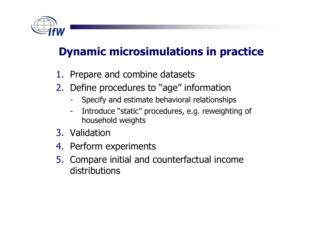

# Dynamic microsimulations in practice

- 1. Prepare and combine datasets
- 2. Define procedures to "age" information
	- Specify and estimate behavioral relationships -
	- $\mathcal{L}_{\mathcal{A}}$  -size  $\mathcal{L}_{\mathcal{A}}$  and  $\mathcal{L}_{\mathcal{A}}$  and  $\mathcal{L}_{\mathcal{A}}$  Introduce "static" procedures, e.g. reweighting of household weights
- 3. Validation
- 4. Perform experiments
- 5. Compare initial and counterfactual income distributions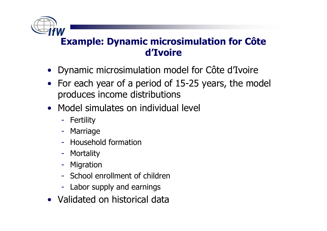

#### Example: Dynamic microsimulation for Côte d'Ivoire

- Dynamic microsimulation model for Côte d'Ivoire
- For each year of a period of 15-25 years, the model produces income distributions
- Model simulates on individual level
	- Fertility
	- Marriage
	- Household formation
	- Mortality
	- Migration
	- School enrollment of children
	- Labor supply and earnings
- Validated on historical data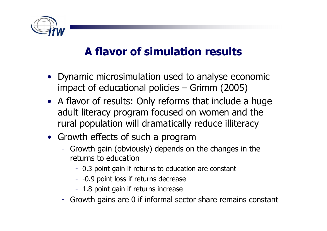

# A flavor of simulation results

- Dynamic microsimulation used to analyse economic<br>impact of educational policies Grimm (2005) impact of educational policies – Grimm (2005)
- A flavor of results: Only reforms that include a huge adult literacy program focused on women and the rural population will dramatically reduce illiteracy
- Growth effects of such a program
	- Growth gain (obviously) depends on the changes in the returns to education
		- 0.3 point gain if returns to education are constant
		- -0.9 point loss if returns decrease
		- 1.8 point gain if returns increase
	- Growth gains are 0 if informal sector share remains constant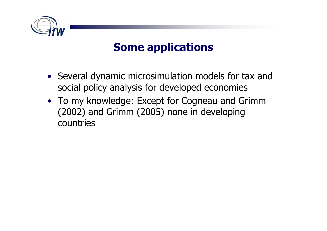

## Some applications

- Several dynamic microsimulation models for tax and social policy analysis for developed economies
- To my knowledge: Except for Cogneau and Grimm<br>(2002) and Grimm (2005) none in develoning (2002) and Grimm (2005) none in developing countries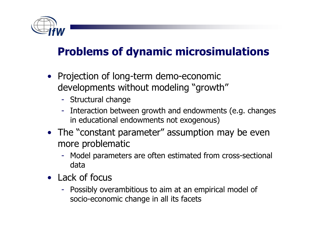

# Problems of dynamic microsimulations

- Projection of long-term demo-economic developments without modeling "growth"
	- Structural change
	- Interaction between growth and endowments (e.g. changes in educational endowments not exogenous)
- The "constant parameter" assumption may be even more problematic
	- Model parameters are often estimated from cross-sectional data
- Lack of focus
	- Possibly overambitious to aim at an empirical model of socio-economic change in all its facets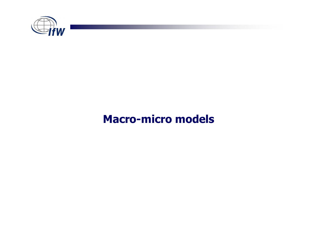

### Macro-micro models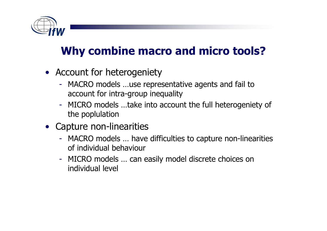

# Why combine macro and micro tools?

- Account for heterogeniety<br>- MACPO models use represe
	- $\mathcal{L}_{\mathcal{A}}$ - MACRO models ...use representative agents and fail to<br>account for intra-groun inequality account for intra-group inequality
	- $\mathcal{L}_{\mathcal{A}}$ - MICRO models ...take into account the full heterogeniety of<br>the poplulation the poplulation
- Capture non-linearities
	- $\mathcal{L}_{\mathcal{A}}$  -size  $\mathcal{L}_{\mathcal{A}}$  and  $\mathcal{L}_{\mathcal{A}}$  and  $\mathcal{L}_{\mathcal{A}}$ - MACRO models ... have difficulties to capture non-linearities<br>of individual behaviour of individual behaviour
	- MICRO models ... can easily model discrete choices on<br>individual level individual level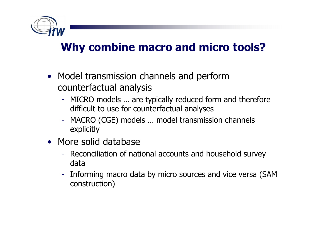

# Why combine macro and micro tools?

- Model transmission channels and perform<br>Counterfactual analysis counterfactual analysis
	- MICRO models ... are typically reduced form and therefore<br>difficult to use for counterfactual analyses difficult to use for counterfactual analyses
	- MACRO (CGE) models … model transmission channels explicitly
- More solid database
	- Reconciliation of national accounts and household survey data
	- - Informing macro data by micro sources and vice versa (SAM construction)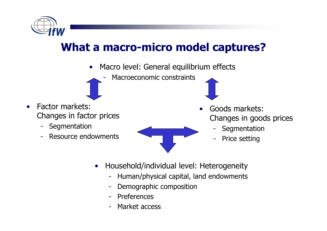

# What a macro-micro model captures?

- • Macro level: General equilibrium effects
	- Macroeconomic constraints
- • Factor markets: Changes in factor prices
	- Segmentation
	- Resource endowments -



- Goods markets: Changes in goods prices
	- **Segmentation**
	- Price setting
- • Household/individual level: Heterogeneity
	- Human/physical capital, land endowments -

•

- -Demographic composition
- -Preferences
- -Market access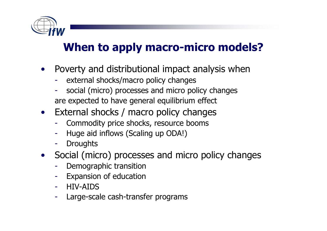

# When to apply macro-micro models?

- $\bullet$  Poverty and distributional impact analysis when
	- external shocks/macro policy changes
	- social (micro) processes and micro policy changesare expected to have general equilibrium effect
- External shocks / macro policy changes
	- -Commodity price shocks, resource booms
	- -Huge aid inflows (Scaling up ODA!)
	- -**Droughts**
- Social (micro) processes and micro policy changes  $\bullet$ 
	- -Demographic transition
	- Expansion of education -
	- -HIV-AIDS
	- Large-scale cash-transfer programs-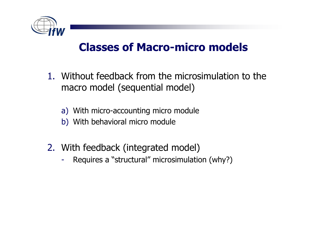

### Classes of Macro-micro models

- 1. Without feedback from the microsimulation to the macro model (sequential model)
	- a) With micro-accounting micro module
	- b) With behavioral micro module
- 2. With feedback (integrated model)
	- -Requires a "structural" microsimulation (why?)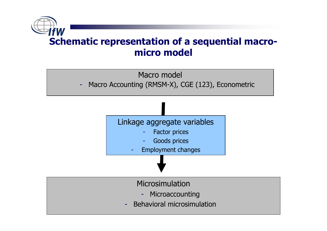



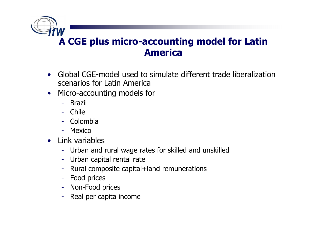A CGE plus micro-accounting model for Latin America

- Global CGE-model used to simulate different trade liberalization scenarios for Latin America
- Micro-accounting models for •
	- Brazil
	- Chile
	- Colombia
	- Mexico
- Link variables
	- Urban and rural wage rates for skilled and unskilled
	- Urban capital rental rate
	- Rural composite capital+land remunerations<br>- Food prices
	- Food prices
	- Non-Food prices
	- -Real per capita income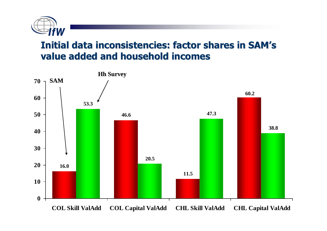

#### Initial data inconsistencies: factor shares in SAM'svalue added and household incomes

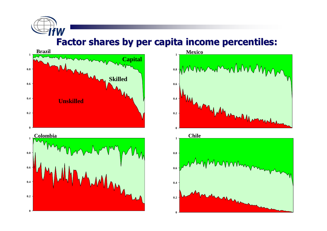Factor shares by per capita income percentiles:



**fW** 





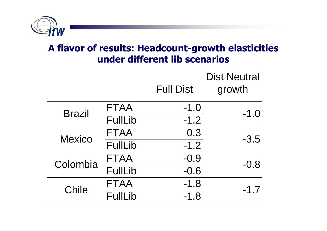

#### A flavor of results: Headcount-growth elasticities under different lib scenarios

|               |                |                  | <b>Dist Neutral</b> |  |
|---------------|----------------|------------------|---------------------|--|
|               |                | <b>Full Dist</b> | growth              |  |
| <b>Brazil</b> | <b>FTAA</b>    | $-1.0$           | $-1.0$              |  |
|               | <b>FullLib</b> | $-1.2$           |                     |  |
| <b>Mexico</b> | <b>FTAA</b>    | 0.3              | $-3.5$              |  |
|               | <b>FullLib</b> | $-1.2$           |                     |  |
| Colombia      | <b>FTAA</b>    | $-0.9$           | $-0.8$              |  |
|               | <b>FullLib</b> | $-0.6$           |                     |  |
| <b>Chile</b>  | <b>FTAA</b>    | $-1.8$           | $-1.7$              |  |
|               | <b>FullLib</b> | $-1.8$           |                     |  |
|               |                |                  |                     |  |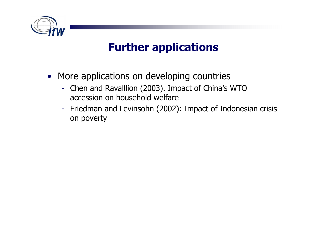

# Further applications

- More applications on developing countries
	- Chen and Ravalllion (2003). Impact of China's WTO<br>accession on household welfare accession on household welfare
	- Friedman and Levinsohn (2002): Impact of Indonesian crisis<br>on poverty on poverty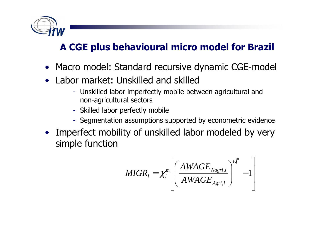

### A CGE plus behavioural micro model for Brazil

- Macro model: Standard recursive dynamic CGE-model
- • Labor market: Unskilled and skilled
	- Unskilled labor imperfectly mobile between agricultural and non-agricultural sectors
	- Skilled labor perfectly mobile
	- Segmentation assumptions supported by econometric evidence
- Imperfect mobility of unskilled labor modeled by very simple function

$$
MIGR_{l} = \chi_{l}^{m} \left[ \left( \frac{AWAGE_{Nagn,l}}{AWAGE_{A gri,l}} \right)^{\omega_{l}^{m}} - 1 \right]
$$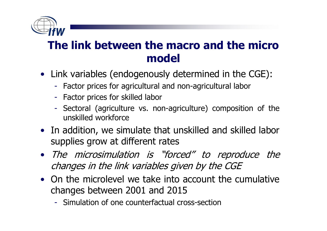

### The link between the macro and the micro model

- Link variables (endogenously determined in the CGE):
	- Factor prices for agricultural and non-agricultural labor
	- Factor prices for skilled labor
	- - Sectoral (agriculture vs. non-agriculture) composition of the unskilled workforce
- In addition, we simulate that unskilled and skilled labor supplies grow at different rates
- The microsimulation is "forced" to reproduce the changes in the link variables given by the CGE
- On the microlevel we take into account the cumulative changes between 2001 and 2015 changes between 2001 and 2015
	- Simulation of one counterfactual cross-section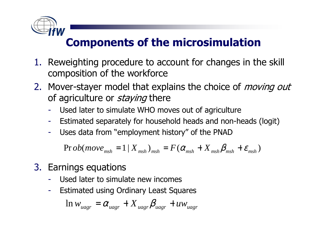

# Components of the microsimulation

- 1. Reweighting procedure to account for changes in the skill composition of the workforce composition of the workforce
- 2. Mover-stayer model that explains the choice of *moving out*<br>of agriculture or *staving* there of agriculture or *staying* there
	- -Used later to simulate WHO moves out of agriculture
	- -Estimated separately for household heads and non-heads (logit)
	- -Uses data from "employment history" of the PNAD

 $\Pr{ob(move_{msh} = 1 | X_{msh})_{msh}} = F(\alpha_{msh} + X_{msh}\beta_{msh} + \varepsilon_{msh})$  *msh msh F* $\mathbf{m}$   $\mathbf{w}_{msh}$ *X* $=1$  |  $X$   $_{msh}$   $)$   $_{msh}$   $=$   $F$  (  $\alpha$   $_{msh}$   $+$   $X$   $_{msh}$   $\beta$   $_{msh}$   $+$   $\varepsilon$   $_{msh}$ 

- 3. Earnings equations
	- -Used later to simulate new incomes
	- -Estimated using Ordinary Least Squares

$$
\ln w_{\text{uagr}} = \alpha_{\text{uagr}} + X_{\text{uagr}} \beta_{\text{uagr}} + u w_{\text{uagr}}
$$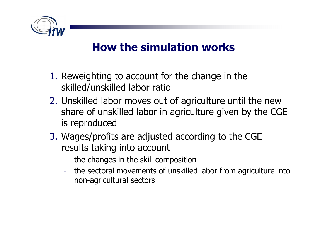

# How the simulation works

- 1. Reweighting to account for the change in the<br>skilled/unskilled labor ratio skilled/unskilled labor ratio
- 2. Unskilled labor moves out of agriculture until the new share of unskilled labor in agriculture given by the CGE is reproduced
- 3. Wages/profits are adjusted according to the CGE results taking into account
	- the changes in the skill composition
	- the sectoral movements of unskilled labor from agriculture into non-agricultural sectors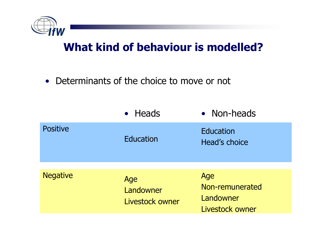

### What kind of behaviour is modelled?

• Determinants of the choice to move or not

|                 | • Heads                             | • Non-heads                                            |
|-----------------|-------------------------------------|--------------------------------------------------------|
| <b>Positive</b> | Education                           | Education<br>Head's choice                             |
| <b>Negative</b> | Age<br>Landowner<br>Livestock owner | Age<br>Non-remunerated<br>Landowner<br>Livestock owner |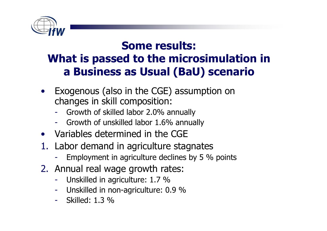

### Some results:What is passed to the microsimulation in a Business as Usual (BaU) scenario

- • Exogenous (also in the CGE) assumption on changes in skill composition:
	- -Growth of skilled labor 2.0% annually
	- Growth of unskilled labor 1.6% annually-
- Variables determined in the CGE
- 1. Labor demand in agriculture stagnates<br>Fmployment in agriculture declines by 5 %
	- Employment in agriculture declines by 5 % points
- 2. Annual real wage growth rates:
	- -Unskilled in agriculture: 1.7 %
	- Unskilled in non-agriculture: 0.9 %
	- Skilled: 1.3 %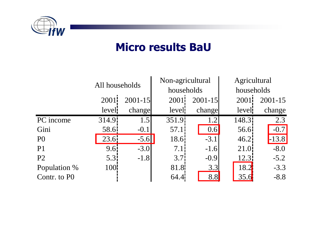

### Micro results BaU

|                |                    | All households |                    | Non-agricultural |                    | Agricultural |  |
|----------------|--------------------|----------------|--------------------|------------------|--------------------|--------------|--|
|                |                    |                |                    | households       |                    | households   |  |
|                | 2001               | $2001 - 15$    | 2001               | $2001 - 15$      | 2001               | $2001 - 15$  |  |
|                | level              | change         | leveli             | change           | level              | change       |  |
| PC income      | 314.9 <sup>i</sup> | 1.5            | 351.9 <sup>1</sup> | 1.2              | 148.3 <sup>i</sup> | 2.3          |  |
| Gini           | 58.6               | $-0.1$         | 57.11              | 0.6              | 56.6               | $-0.7$       |  |
| P <sub>0</sub> | 23.6!              | $-5.6$         | 18.6               | $-3.1$           | 46.21              | $-13.8$      |  |
| P <sub>1</sub> | 9.6i               | $-3.0$         | 7.1                | $-1.6$           | 21.0               | $-8.0$       |  |
| P <sub>2</sub> | 5.3 <sup>1</sup>   | $-1.8$         | 3.7 <sup>i</sup>   | $-0.9$           | 12.3               | $-5.2$       |  |
| Population %   | 100 <sup>l</sup>   |                | 81.8               | 3.3              | 18.2               | $-3.3$       |  |
| Contr. to P0   |                    |                | 64.4!              | 8.8              | 35.6               | $-8.8$       |  |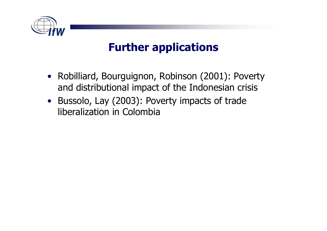

# Further applications

- Robilliard, Bourguignon, Robinson (2001): Poverty and distributional impact of the Indonesian crisis
- Bussolo, Lay (2003): Poverty impacts of trade liberalization in Colombia